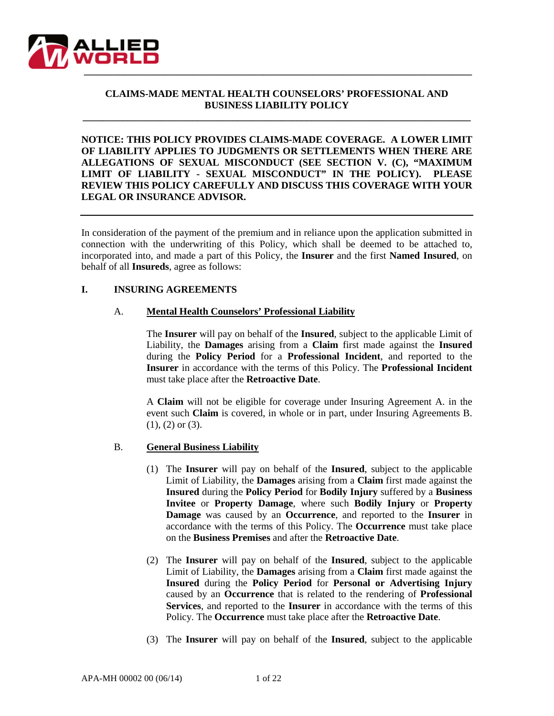

# **CLAIMS-MADE MENTAL HEALTH COUNSELORS' PROFESSIONAL AND BUSINESS LIABILITY POLICY**

**\_\_\_\_\_\_\_\_\_\_\_\_\_\_\_\_\_\_\_\_\_\_\_\_\_\_\_\_\_\_\_\_\_\_\_\_\_\_\_\_\_\_\_\_\_\_\_\_\_\_\_\_\_\_\_\_\_\_\_\_\_\_\_\_\_\_\_\_\_\_\_\_\_\_\_\_\_\_**

**NOTICE: THIS POLICY PROVIDES CLAIMS-MADE COVERAGE. A LOWER LIMIT OF LIABILITY APPLIES TO JUDGMENTS OR SETTLEMENTS WHEN THERE ARE ALLEGATIONS OF SEXUAL MISCONDUCT (SEE SECTION V. (C), "MAXIMUM LIMIT OF LIABILITY - SEXUAL MISCONDUCT" IN THE POLICY). PLEASE REVIEW THIS POLICY CAREFULLY AND DISCUSS THIS COVERAGE WITH YOUR LEGAL OR INSURANCE ADVISOR.**

In consideration of the payment of the premium and in reliance upon the application submitted in connection with the underwriting of this Policy, which shall be deemed to be attached to, incorporated into, and made a part of this Policy, the **Insurer** and the first **Named Insured**, on behalf of all **Insureds**, agree as follows:

#### **I. INSURING AGREEMENTS**

#### A. **Mental Health Counselors' Professional Liability**

The **Insurer** will pay on behalf of the **Insured**, subject to the applicable Limit of Liability, the **Damages** arising from a **Claim** first made against the **Insured** during the **Policy Period** for a **Professional Incident**, and reported to the **Insurer** in accordance with the terms of this Policy. The **Professional Incident** must take place after the **Retroactive Date**.

A **Claim** will not be eligible for coverage under Insuring Agreement A. in the event such **Claim** is covered, in whole or in part, under Insuring Agreements B. (1), (2) or (3).

#### B. **General Business Liability**

- (1) The **Insurer** will pay on behalf of the **Insured**, subject to the applicable Limit of Liability, the **Damages** arising from a **Claim** first made against the **Insured** during the **Policy Period** for **Bodily Injury** suffered by a **Business Invitee** or **Property Damage**, where such **Bodily Injury** or **Property Damage** was caused by an **Occurrence**, and reported to the **Insurer** in accordance with the terms of this Policy. The **Occurrence** must take place on the **Business Premises** and after the **Retroactive Date**.
- (2) The **Insurer** will pay on behalf of the **Insured**, subject to the applicable Limit of Liability, the **Damages** arising from a **Claim** first made against the **Insured** during the **Policy Period** for **Personal or Advertising Injury** caused by an **Occurrence** that is related to the rendering of **Professional Services**, and reported to the **Insurer** in accordance with the terms of this Policy. The **Occurrence** must take place after the **Retroactive Date**.
- (3) The **Insurer** will pay on behalf of the **Insured**, subject to the applicable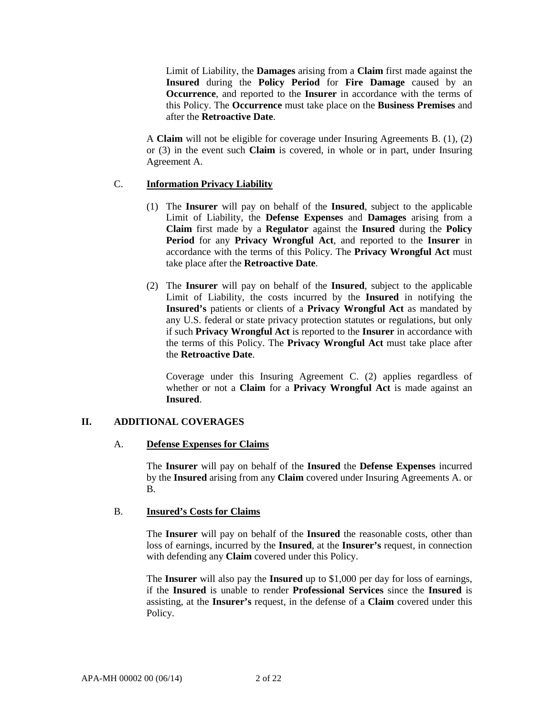Limit of Liability, the **Damages** arising from a **Claim** first made against the **Insured** during the **Policy Period** for **Fire Damage** caused by an **Occurrence**, and reported to the **Insurer** in accordance with the terms of this Policy. The **Occurrence** must take place on the **Business Premises** and after the **Retroactive Date**.

A **Claim** will not be eligible for coverage under Insuring Agreements B. (1), (2) or (3) in the event such **Claim** is covered, in whole or in part, under Insuring Agreement A.

# C. **Information Privacy Liability**

- (1) The **Insurer** will pay on behalf of the **Insured**, subject to the applicable Limit of Liability, the **Defense Expenses** and **Damages** arising from a **Claim** first made by a **Regulator** against the **Insured** during the **Policy Period** for any **Privacy Wrongful Act**, and reported to the **Insurer** in accordance with the terms of this Policy. The **Privacy Wrongful Act** must take place after the **Retroactive Date**.
- (2) The **Insurer** will pay on behalf of the **Insured**, subject to the applicable Limit of Liability, the costs incurred by the **Insured** in notifying the **Insured's** patients or clients of a **Privacy Wrongful Act** as mandated by any U.S. federal or state privacy protection statutes or regulations, but only if such **Privacy Wrongful Act** is reported to the **Insurer** in accordance with the terms of this Policy. The **Privacy Wrongful Act** must take place after the **Retroactive Date**.

Coverage under this Insuring Agreement C. (2) applies regardless of whether or not a **Claim** for a **Privacy Wrongful Act** is made against an **Insured**.

### **II. ADDITIONAL COVERAGES**

### A. **Defense Expenses for Claims**

The **Insurer** will pay on behalf of the **Insured** the **Defense Expenses** incurred by the **Insured** arising from any **Claim** covered under Insuring Agreements A. or B.

### B. **Insured's Costs for Claims**

The **Insurer** will pay on behalf of the **Insured** the reasonable costs, other than loss of earnings, incurred by the **Insured**, at the **Insurer's** request, in connection with defending any **Claim** covered under this Policy.

The **Insurer** will also pay the **Insured** up to \$1,000 per day for loss of earnings, if the **Insured** is unable to render **Professional Services** since the **Insured** is assisting, at the **Insurer's** request, in the defense of a **Claim** covered under this Policy.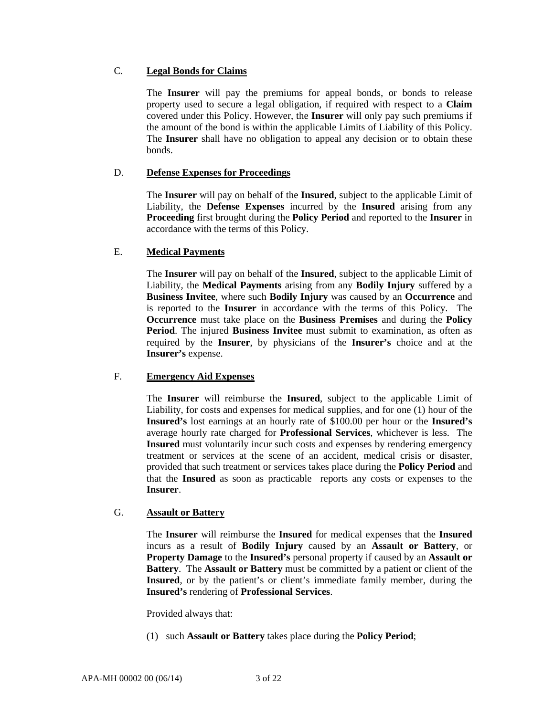# C. **Legal Bonds for Claims**

The **Insurer** will pay the premiums for appeal bonds, or bonds to release property used to secure a legal obligation, if required with respect to a **Claim** covered under this Policy. However, the **Insurer** will only pay such premiums if the amount of the bond is within the applicable Limits of Liability of this Policy. The **Insurer** shall have no obligation to appeal any decision or to obtain these bonds.

# D. **Defense Expenses for Proceedings**

The **Insurer** will pay on behalf of the **Insured**, subject to the applicable Limit of Liability, the **Defense Expenses** incurred by the **Insured** arising from any **Proceeding** first brought during the **Policy Period** and reported to the **Insurer** in accordance with the terms of this Policy.

# E. **Medical Payments**

The **Insurer** will pay on behalf of the **Insured**, subject to the applicable Limit of Liability, the **Medical Payments** arising from any **Bodily Injury** suffered by a **Business Invitee**, where such **Bodily Injury** was caused by an **Occurrence** and is reported to the **Insurer** in accordance with the terms of this Policy. The **Occurrence** must take place on the **Business Premises** and during the **Policy Period**. The injured **Business Invitee** must submit to examination, as often as required by the **Insurer**, by physicians of the **Insurer's** choice and at the **Insurer's** expense.

### F. **Emergency Aid Expenses**

The **Insurer** will reimburse the **Insured**, subject to the applicable Limit of Liability, for costs and expenses for medical supplies, and for one (1) hour of the **Insured's** lost earnings at an hourly rate of \$100.00 per hour or the **Insured's** average hourly rate charged for **Professional Services**, whichever is less. The **Insured** must voluntarily incur such costs and expenses by rendering emergency treatment or services at the scene of an accident, medical crisis or disaster, provided that such treatment or services takes place during the **Policy Period** and that the **Insured** as soon as practicable reports any costs or expenses to the **Insurer**.

# G. **Assault or Battery**

The **Insurer** will reimburse the **Insured** for medical expenses that the **Insured** incurs as a result of **Bodily Injury** caused by an **Assault or Battery**, or **Property Damage** to the **Insured's** personal property if caused by an **Assault or Battery**. The **Assault or Battery** must be committed by a patient or client of the **Insured**, or by the patient's or client's immediate family member, during the **Insured's** rendering of **Professional Services**.

Provided always that:

(1) such **Assault or Battery** takes place during the **Policy Period**;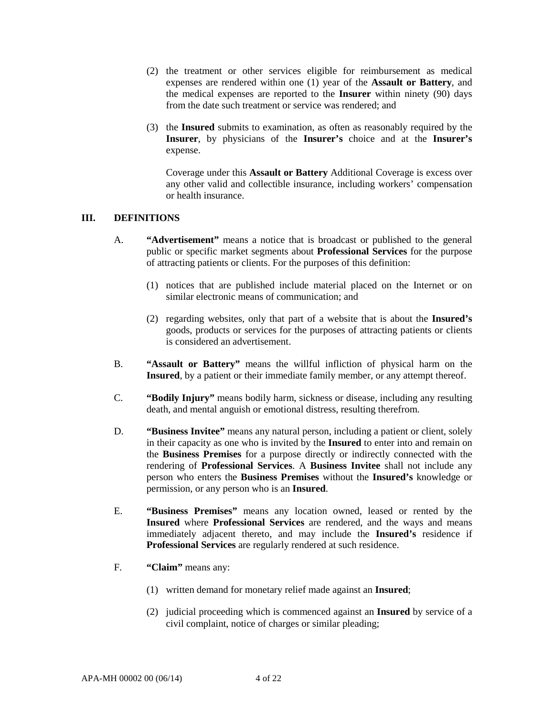- (2) the treatment or other services eligible for reimbursement as medical expenses are rendered within one (1) year of the **Assault or Battery**, and the medical expenses are reported to the **Insurer** within ninety (90) days from the date such treatment or service was rendered; and
- (3) the **Insured** submits to examination, as often as reasonably required by the **Insurer**, by physicians of the **Insurer's** choice and at the **Insurer's** expense.

Coverage under this **Assault or Battery** Additional Coverage is excess over any other valid and collectible insurance, including workers' compensation or health insurance.

### **III. DEFINITIONS**

- A. **"Advertisement"** means a notice that is broadcast or published to the general public or specific market segments about **Professional Services** for the purpose of attracting patients or clients. For the purposes of this definition:
	- (1) notices that are published include material placed on the Internet or on similar electronic means of communication; and
	- (2) regarding websites, only that part of a website that is about the **Insured's** goods, products or services for the purposes of attracting patients or clients is considered an advertisement.
- B. **"Assault or Battery"** means the willful infliction of physical harm on the **Insured**, by a patient or their immediate family member, or any attempt thereof.
- C. **"Bodily Injury"** means bodily harm, sickness or disease, including any resulting death, and mental anguish or emotional distress, resulting therefrom.
- D. **"Business Invitee"** means any natural person, including a patient or client, solely in their capacity as one who is invited by the **Insured** to enter into and remain on the **Business Premises** for a purpose directly or indirectly connected with the rendering of **Professional Services**. A **Business Invitee** shall not include any person who enters the **Business Premises** without the **Insured's** knowledge or permission, or any person who is an **Insured**.
- E. **"Business Premises"** means any location owned, leased or rented by the **Insured** where **Professional Services** are rendered, and the ways and means immediately adjacent thereto, and may include the **Insured's** residence if **Professional Services** are regularly rendered at such residence.
- F. **"Claim"** means any:
	- (1) written demand for monetary relief made against an **Insured**;
	- (2) judicial proceeding which is commenced against an **Insured** by service of a civil complaint, notice of charges or similar pleading;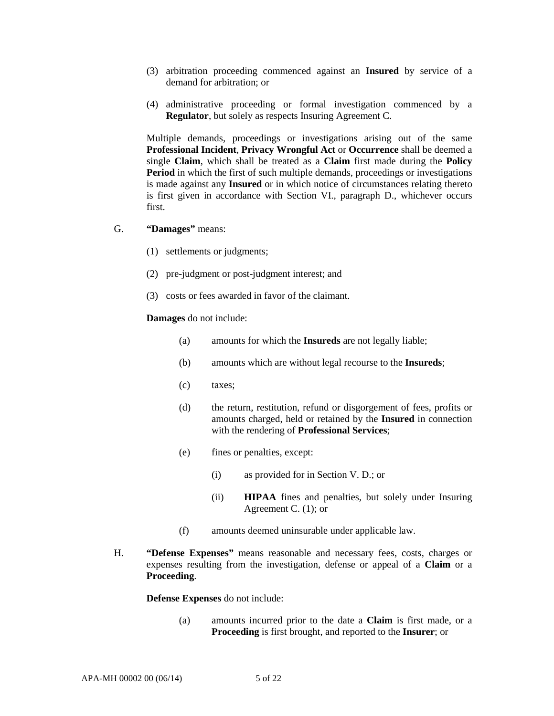- (3) arbitration proceeding commenced against an **Insured** by service of a demand for arbitration; or
- (4) administrative proceeding or formal investigation commenced by a **Regulator**, but solely as respects Insuring Agreement C.

Multiple demands, proceedings or investigations arising out of the same **Professional Incident**, **Privacy Wrongful Act** or **Occurrence** shall be deemed a single **Claim**, which shall be treated as a **Claim** first made during the **Policy Period** in which the first of such multiple demands, proceedings or investigations is made against any **Insured** or in which notice of circumstances relating thereto is first given in accordance with Section VI., paragraph D., whichever occurs first.

- G. **"Damages"** means:
	- (1) settlements or judgments;
	- (2) pre-judgment or post-judgment interest; and
	- (3) costs or fees awarded in favor of the claimant.

#### **Damages** do not include:

- (a) amounts for which the **Insureds** are not legally liable;
- (b) amounts which are without legal recourse to the **Insureds**;
- (c) taxes;
- (d) the return, restitution, refund or disgorgement of fees, profits or amounts charged, held or retained by the **Insured** in connection with the rendering of **Professional Services**;
- (e) fines or penalties, except:
	- (i) as provided for in Section V. D.; or
	- (ii) **HIPAA** fines and penalties, but solely under Insuring Agreement C. (1); or
- (f) amounts deemed uninsurable under applicable law.
- H. **"Defense Expenses"** means reasonable and necessary fees, costs, charges or expenses resulting from the investigation, defense or appeal of a **Claim** or a **Proceeding**.

**Defense Expenses** do not include:

(a) amounts incurred prior to the date a **Claim** is first made, or a **Proceeding** is first brought, and reported to the **Insurer**; or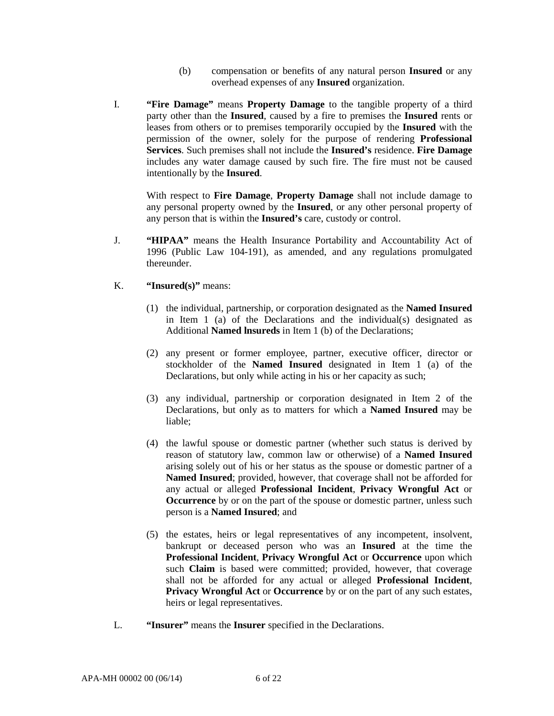- (b) compensation or benefits of any natural person **Insured** or any overhead expenses of any **Insured** organization.
- I. **"Fire Damage"** means **Property Damage** to the tangible property of a third party other than the **Insured**, caused by a fire to premises the **Insured** rents or leases from others or to premises temporarily occupied by the **Insured** with the permission of the owner, solely for the purpose of rendering **Professional Services**. Such premises shall not include the **Insured's** residence. **Fire Damage** includes any water damage caused by such fire. The fire must not be caused intentionally by the **Insured**.

With respect to **Fire Damage**, **Property Damage** shall not include damage to any personal property owned by the **Insured**, or any other personal property of any person that is within the **Insured's** care, custody or control.

- J. **"HIPAA"** means the Health Insurance Portability and Accountability Act of 1996 (Public Law 104-191), as amended, and any regulations promulgated thereunder.
- K. **"Insured(s)"** means:
	- (1) the individual, partnership, or corporation designated as the **Named Insured** in Item  $1$  (a) of the Declarations and the individual(s) designated as Additional **Named lnsureds** in Item 1 (b) of the Declarations;
	- (2) any present or former employee, partner, executive officer, director or stockholder of the **Named Insured** designated in Item 1 (a) of the Declarations, but only while acting in his or her capacity as such;
	- (3) any individual, partnership or corporation designated in Item 2 of the Declarations, but only as to matters for which a **Named Insured** may be liable;
	- (4) the lawful spouse or domestic partner (whether such status is derived by reason of statutory law, common law or otherwise) of a **Named Insured** arising solely out of his or her status as the spouse or domestic partner of a **Named Insured**; provided, however, that coverage shall not be afforded for any actual or alleged **Professional Incident**, **Privacy Wrongful Act** or **Occurrence** by or on the part of the spouse or domestic partner, unless such person is a **Named Insured**; and
	- (5) the estates, heirs or legal representatives of any incompetent, insolvent, bankrupt or deceased person who was an **Insured** at the time the **Professional Incident**, **Privacy Wrongful Act** or **Occurrence** upon which such **Claim** is based were committed; provided, however, that coverage shall not be afforded for any actual or alleged **Professional Incident**, **Privacy Wrongful Act** or **Occurrence** by or on the part of any such estates, heirs or legal representatives.
- L. **"Insurer"** means the **Insurer** specified in the Declarations.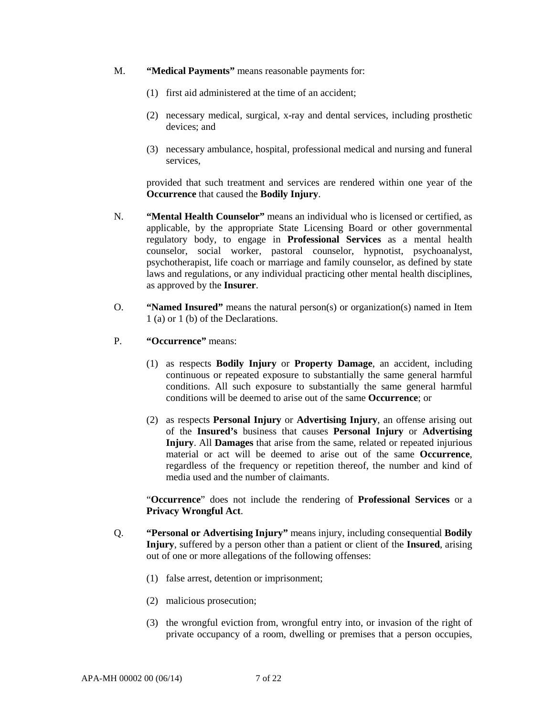- M. **"Medical Payments"** means reasonable payments for:
	- (1) first aid administered at the time of an accident;
	- (2) necessary medical, surgical, x-ray and dental services, including prosthetic devices; and
	- (3) necessary ambulance, hospital, professional medical and nursing and funeral services,

provided that such treatment and services are rendered within one year of the **Occurrence** that caused the **Bodily Injury**.

- N. **"Mental Health Counselor"** means an individual who is licensed or certified, as applicable, by the appropriate State Licensing Board or other governmental regulatory body, to engage in **Professional Services** as a mental health counselor, social worker, pastoral counselor, hypnotist, psychoanalyst, psychotherapist, life coach or marriage and family counselor, as defined by state laws and regulations, or any individual practicing other mental health disciplines, as approved by the **Insurer**.
- O. **"Named Insured"** means the natural person(s) or organization(s) named in Item 1 (a) or 1 (b) of the Declarations.
- P. **"Occurrence"** means:
	- (1) as respects **Bodily Injury** or **Property Damage**, an accident, including continuous or repeated exposure to substantially the same general harmful conditions. All such exposure to substantially the same general harmful conditions will be deemed to arise out of the same **Occurrence**; or
	- (2) as respects **Personal Injury** or **Advertising Injury**, an offense arising out of the **Insured's** business that causes **Personal Injury** or **Advertising Injury**. All **Damages** that arise from the same, related or repeated injurious material or act will be deemed to arise out of the same **Occurrence**, regardless of the frequency or repetition thereof, the number and kind of media used and the number of claimants.

"**Occurrence**" does not include the rendering of **Professional Services** or a **Privacy Wrongful Act**.

- Q. **"Personal or Advertising Injury"** means injury, including consequential **Bodily Injury**, suffered by a person other than a patient or client of the **Insured**, arising out of one or more allegations of the following offenses:
	- (1) false arrest, detention or imprisonment;
	- (2) malicious prosecution;
	- (3) the wrongful eviction from, wrongful entry into, or invasion of the right of private occupancy of a room, dwelling or premises that a person occupies,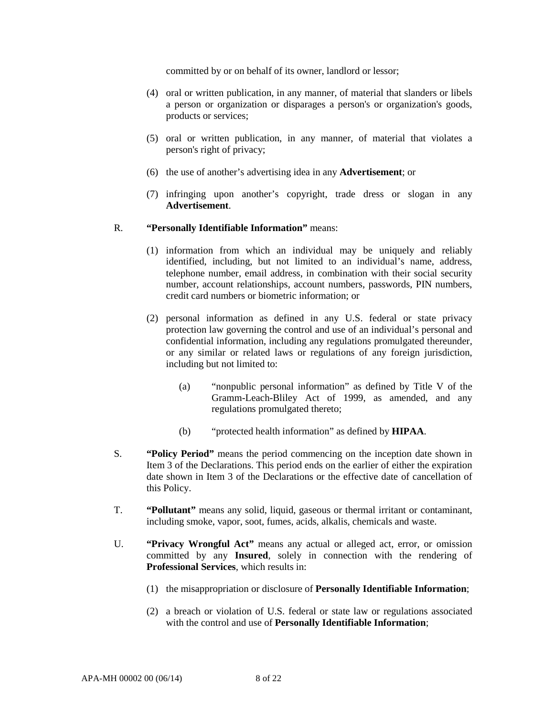committed by or on behalf of its owner, landlord or lessor;

- (4) oral or written publication, in any manner, of material that slanders or libels a person or organization or disparages a person's or organization's goods, products or services;
- (5) oral or written publication, in any manner, of material that violates a person's right of privacy;
- (6) the use of another's advertising idea in any **Advertisement**; or
- (7) infringing upon another's copyright, trade dress or slogan in any **Advertisement**.

#### R. **"Personally Identifiable Information"** means:

- (1) information from which an individual may be uniquely and reliably identified, including, but not limited to an individual's name, address, telephone number, email address, in combination with their social security number, account relationships, account numbers, passwords, PIN numbers, credit card numbers or biometric information; or
- (2) personal information as defined in any U.S. federal or state privacy protection law governing the control and use of an individual's personal and confidential information, including any regulations promulgated thereunder, or any similar or related laws or regulations of any foreign jurisdiction, including but not limited to:
	- (a) "nonpublic personal information" as defined by Title V of the Gramm-Leach-Bliley Act of 1999, as amended, and any regulations promulgated thereto;
	- (b) "protected health information" as defined by **HIPAA**.
- S. **"Policy Period"** means the period commencing on the inception date shown in Item 3 of the Declarations. This period ends on the earlier of either the expiration date shown in Item 3 of the Declarations or the effective date of cancellation of this Policy.
- T. **"Pollutant"** means any solid, liquid, gaseous or thermal irritant or contaminant, including smoke, vapor, soot, fumes, acids, alkalis, chemicals and waste.
- U. **"Privacy Wrongful Act"** means any actual or alleged act, error, or omission committed by any **Insured**, solely in connection with the rendering of **Professional Services**, which results in:
	- (1) the misappropriation or disclosure of **Personally Identifiable Information**;
	- (2) a breach or violation of U.S. federal or state law or regulations associated with the control and use of **Personally Identifiable Information**;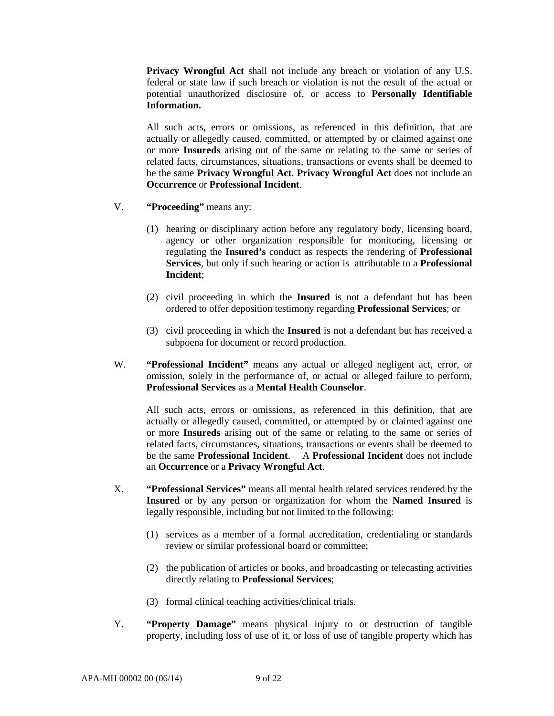**Privacy Wrongful Act** shall not include any breach or violation of any U.S. federal or state law if such breach or violation is not the result of the actual or potential unauthorized disclosure of, or access to **Personally Identifiable Information.** 

All such acts, errors or omissions, as referenced in this definition, that are actually or allegedly caused, committed, or attempted by or claimed against one or more **Insureds** arising out of the same or relating to the same or series of related facts, circumstances, situations, transactions or events shall be deemed to be the same **Privacy Wrongful Act**. **Privacy Wrongful Act** does not include an **Occurrence** or **Professional Incident**.

- V. **"Proceeding"** means any:
	- (1) hearing or disciplinary action before any regulatory body, licensing board, agency or other organization responsible for monitoring, licensing or regulating the **Insured's** conduct as respects the rendering of **Professional Services**, but only if such hearing or action is attributable to a **Professional Incident**;
	- (2) civil proceeding in which the **Insured** is not a defendant but has been ordered to offer deposition testimony regarding **Professional Services**; or
	- (3) civil proceeding in which the **Insured** is not a defendant but has received a subpoena for document or record production.
- W. **"Professional Incident"** means any actual or alleged negligent act, error, or omission, solely in the performance of, or actual or alleged failure to perform, **Professional Services** as a **Mental Health Counselor**.

All such acts, errors or omissions, as referenced in this definition, that are actually or allegedly caused, committed, or attempted by or claimed against one or more **Insureds** arising out of the same or relating to the same or series of related facts, circumstances, situations, transactions or events shall be deemed to be the same **Professional Incident**. A **Professional Incident** does not include an **Occurrence** or a **Privacy Wrongful Act**.

- X. **"Professional Services"** means all mental health related services rendered by the **Insured** or by any person or organization for whom the **Named Insured** is legally responsible, including but not limited to the following:
	- (1) services as a member of a formal accreditation, credentialing or standards review or similar professional board or committee;
	- (2) the publication of articles or books, and broadcasting or telecasting activities directly relating to **Professional Services**;
	- (3) formal clinical teaching activities/clinical trials.
- Y. **"Property Damage"** means physical injury to or destruction of tangible property, including loss of use of it, or loss of use of tangible property which has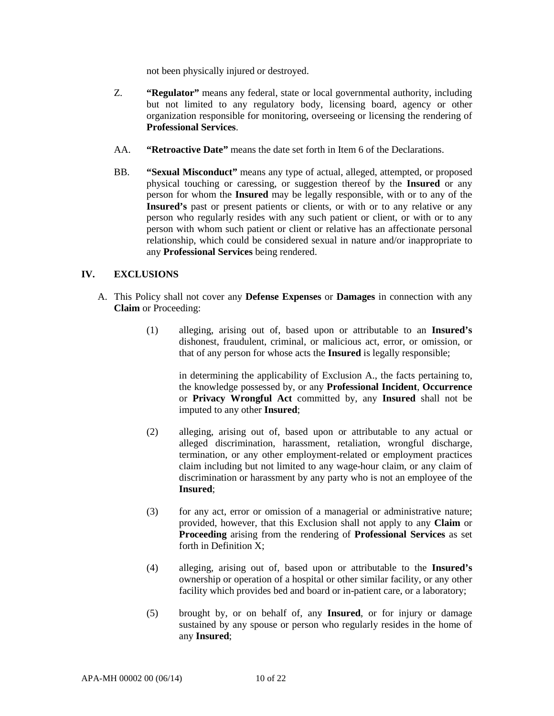not been physically injured or destroyed.

- Z. **"Regulator"** means any federal, state or local governmental authority, including but not limited to any regulatory body, licensing board, agency or other organization responsible for monitoring, overseeing or licensing the rendering of **Professional Services**.
- AA. **"Retroactive Date"** means the date set forth in Item 6 of the Declarations.
- BB. **"Sexual Misconduct"** means any type of actual, alleged, attempted, or proposed physical touching or caressing, or suggestion thereof by the **Insured** or any person for whom the **Insured** may be legally responsible, with or to any of the **Insured's** past or present patients or clients, or with or to any relative or any person who regularly resides with any such patient or client, or with or to any person with whom such patient or client or relative has an affectionate personal relationship, which could be considered sexual in nature and/or inappropriate to any **Professional Services** being rendered.

# **IV. EXCLUSIONS**

- A. This Policy shall not cover any **Defense Expenses** or **Damages** in connection with any **Claim** or Proceeding:
	- (1) alleging, arising out of, based upon or attributable to an **Insured's** dishonest, fraudulent, criminal, or malicious act, error, or omission, or that of any person for whose acts the **Insured** is legally responsible;

in determining the applicability of Exclusion A., the facts pertaining to, the knowledge possessed by, or any **Professional Incident**, **Occurrence** or **Privacy Wrongful Act** committed by, any **Insured** shall not be imputed to any other **Insured**;

- (2) alleging, arising out of, based upon or attributable to any actual or alleged discrimination, harassment, retaliation, wrongful discharge, termination, or any other employment-related or employment practices claim including but not limited to any wage-hour claim, or any claim of discrimination or harassment by any party who is not an employee of the **Insured**;
- (3) for any act, error or omission of a managerial or administrative nature; provided, however, that this Exclusion shall not apply to any **Claim** or **Proceeding** arising from the rendering of **Professional Services** as set forth in Definition X;
- (4) alleging, arising out of, based upon or attributable to the **Insured's** ownership or operation of a hospital or other similar facility, or any other facility which provides bed and board or in-patient care, or a laboratory;
- (5) brought by, or on behalf of, any **Insured**, or for injury or damage sustained by any spouse or person who regularly resides in the home of any **Insured**;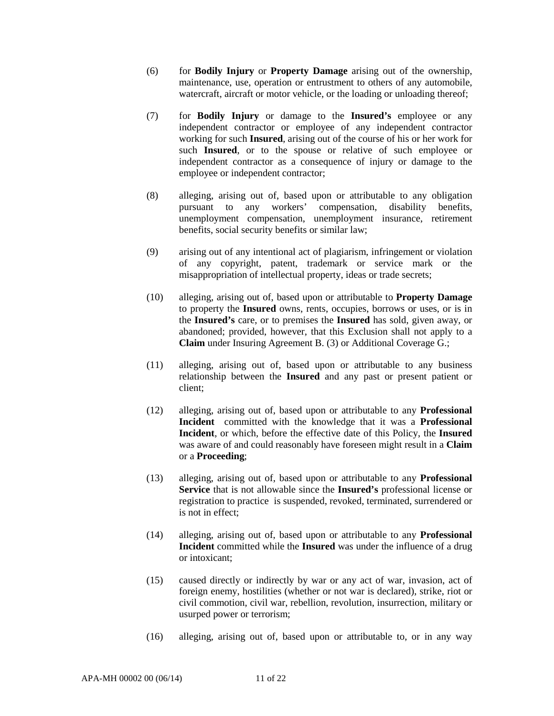- (6) for **Bodily Injury** or **Property Damage** arising out of the ownership, maintenance, use, operation or entrustment to others of any automobile, watercraft, aircraft or motor vehicle, or the loading or unloading thereof;
- (7) for **Bodily Injury** or damage to the **Insured's** employee or any independent contractor or employee of any independent contractor working for such **Insured**, arising out of the course of his or her work for such **Insured**, or to the spouse or relative of such employee or independent contractor as a consequence of injury or damage to the employee or independent contractor;
- (8) alleging, arising out of, based upon or attributable to any obligation pursuant to any workers' compensation, disability benefits, unemployment compensation, unemployment insurance, retirement benefits, social security benefits or similar law;
- (9) arising out of any intentional act of plagiarism, infringement or violation of any copyright, patent, trademark or service mark or the misappropriation of intellectual property, ideas or trade secrets;
- (10) alleging, arising out of, based upon or attributable to **Property Damage** to property the **Insured** owns, rents, occupies, borrows or uses, or is in the **Insured's** care, or to premises the **Insured** has sold, given away, or abandoned; provided, however, that this Exclusion shall not apply to a **Claim** under Insuring Agreement B. (3) or Additional Coverage G.;
- (11) alleging, arising out of, based upon or attributable to any business relationship between the **Insured** and any past or present patient or client;
- (12) alleging, arising out of, based upon or attributable to any **Professional Incident** committed with the knowledge that it was a **Professional Incident**, or which, before the effective date of this Policy, the **Insured** was aware of and could reasonably have foreseen might result in a **Claim** or a **Proceeding**;
- (13) alleging, arising out of, based upon or attributable to any **Professional Service** that is not allowable since the **Insured's** professional license or registration to practice is suspended, revoked, terminated, surrendered or is not in effect;
- (14) alleging, arising out of, based upon or attributable to any **Professional Incident** committed while the **Insured** was under the influence of a drug or intoxicant;
- (15) caused directly or indirectly by war or any act of war, invasion, act of foreign enemy, hostilities (whether or not war is declared), strike, riot or civil commotion, civil war, rebellion, revolution, insurrection, military or usurped power or terrorism;
- (16) alleging, arising out of, based upon or attributable to, or in any way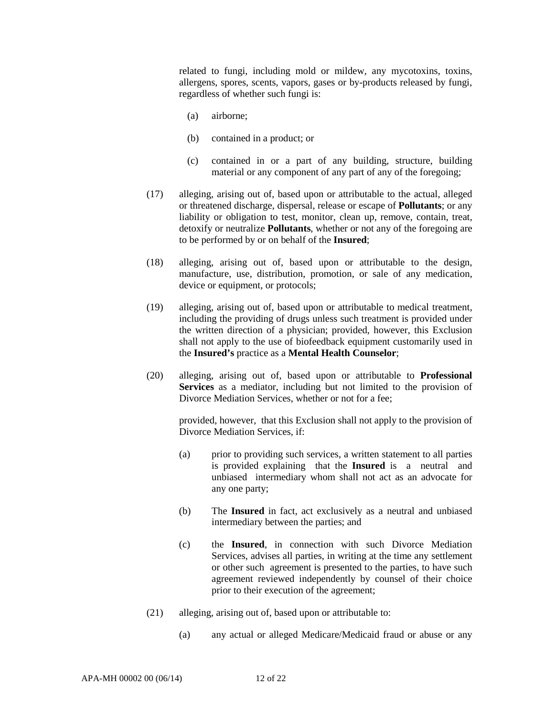related to fungi, including mold or mildew, any mycotoxins, toxins, allergens, spores, scents, vapors, gases or by-products released by fungi, regardless of whether such fungi is:

- (a) airborne;
- (b) contained in a product; or
- (c) contained in or a part of any building, structure, building material or any component of any part of any of the foregoing;
- (17) alleging, arising out of, based upon or attributable to the actual, alleged or threatened discharge, dispersal, release or escape of **Pollutants**; or any liability or obligation to test, monitor, clean up, remove, contain, treat, detoxify or neutralize **Pollutants**, whether or not any of the foregoing are to be performed by or on behalf of the **Insured**;
- (18) alleging, arising out of, based upon or attributable to the design, manufacture, use, distribution, promotion, or sale of any medication, device or equipment, or protocols;
- (19) alleging, arising out of, based upon or attributable to medical treatment, including the providing of drugs unless such treatment is provided under the written direction of a physician; provided, however, this Exclusion shall not apply to the use of biofeedback equipment customarily used in the **Insured's** practice as a **Mental Health Counselor**;
- (20) alleging, arising out of, based upon or attributable to **Professional Services** as a mediator, including but not limited to the provision of Divorce Mediation Services, whether or not for a fee;

provided, however, that this Exclusion shall not apply to the provision of Divorce Mediation Services, if:

- (a) prior to providing such services, a written statement to all parties is provided explaining that the **Insured** is a neutral and unbiased intermediary whom shall not act as an advocate for any one party;
- (b) The **Insured** in fact, act exclusively as a neutral and unbiased intermediary between the parties; and
- (c) the **Insured**, in connection with such Divorce Mediation Services, advises all parties, in writing at the time any settlement or other such agreement is presented to the parties, to have such agreement reviewed independently by counsel of their choice prior to their execution of the agreement;
- (21) alleging, arising out of, based upon or attributable to:
	- (a) any actual or alleged Medicare/Medicaid fraud or abuse or any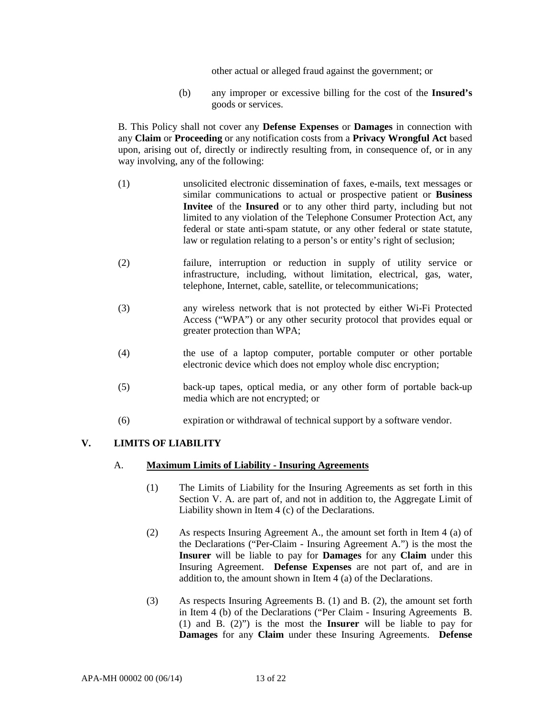other actual or alleged fraud against the government; or

(b) any improper or excessive billing for the cost of the **Insured's**  goods or services.

B. This Policy shall not cover any **Defense Expenses** or **Damages** in connection with any **Claim** or **Proceeding** or any notification costs from a **Privacy Wrongful Act** based upon, arising out of, directly or indirectly resulting from, in consequence of, or in any way involving, any of the following:

- (1) unsolicited electronic dissemination of faxes, e-mails, text messages or similar communications to actual or prospective patient or **Business Invitee** of the **Insured** or to any other third party, including but not limited to any violation of the Telephone Consumer Protection Act, any federal or state anti-spam statute, or any other federal or state statute, law or regulation relating to a person's or entity's right of seclusion;
- (2) failure, interruption or reduction in supply of utility service or infrastructure, including, without limitation, electrical, gas, water, telephone, Internet, cable, satellite, or telecommunications;
- (3) any wireless network that is not protected by either Wi-Fi Protected Access ("WPA") or any other security protocol that provides equal or greater protection than WPA;
- (4) the use of a laptop computer, portable computer or other portable electronic device which does not employ whole disc encryption;
- (5) back-up tapes, optical media, or any other form of portable back-up media which are not encrypted; or
- (6) expiration or withdrawal of technical support by a software vendor.

# **V. LIMITS OF LIABILITY**

### A. **Maximum Limits of Liability - Insuring Agreements**

- (1) The Limits of Liability for the Insuring Agreements as set forth in this Section V. A. are part of, and not in addition to, the Aggregate Limit of Liability shown in Item 4 (c) of the Declarations.
- (2) As respects Insuring Agreement A., the amount set forth in Item 4 (a) of the Declarations ("Per-Claim - Insuring Agreement A.") is the most the **Insurer** will be liable to pay for **Damages** for any **Claim** under this Insuring Agreement. **Defense Expenses** are not part of, and are in addition to, the amount shown in Item 4 (a) of the Declarations.
- (3) As respects Insuring Agreements B. (1) and B. (2), the amount set forth in Item 4 (b) of the Declarations ("Per Claim - Insuring Agreements B. (1) and B. (2)") is the most the **Insurer** will be liable to pay for **Damages** for any **Claim** under these Insuring Agreements. **Defense**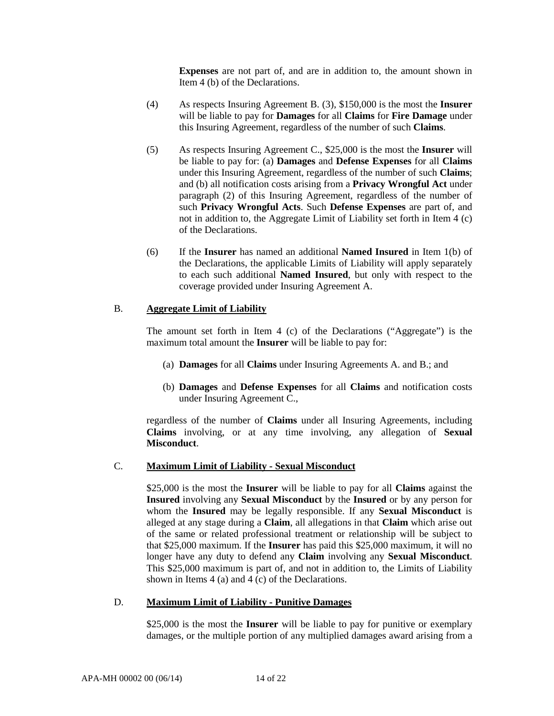**Expenses** are not part of, and are in addition to, the amount shown in Item 4 (b) of the Declarations.

- (4) As respects Insuring Agreement B. (3), \$150,000 is the most the **Insurer** will be liable to pay for **Damages** for all **Claims** for **Fire Damage** under this Insuring Agreement, regardless of the number of such **Claims**.
- (5) As respects Insuring Agreement C., \$25,000 is the most the **Insurer** will be liable to pay for: (a) **Damages** and **Defense Expenses** for all **Claims** under this Insuring Agreement, regardless of the number of such **Claims**; and (b) all notification costs arising from a **Privacy Wrongful Act** under paragraph (2) of this Insuring Agreement, regardless of the number of such **Privacy Wrongful Acts**. Such **Defense Expenses** are part of, and not in addition to, the Aggregate Limit of Liability set forth in Item 4 (c) of the Declarations.
- (6) If the **Insurer** has named an additional **Named Insured** in Item 1(b) of the Declarations, the applicable Limits of Liability will apply separately to each such additional **Named Insured**, but only with respect to the coverage provided under Insuring Agreement A.

# B. **Aggregate Limit of Liability**

The amount set forth in Item 4 (c) of the Declarations ("Aggregate") is the maximum total amount the **Insurer** will be liable to pay for:

- (a) **Damages** for all **Claims** under Insuring Agreements A. and B.; and
- (b) **Damages** and **Defense Expenses** for all **Claims** and notification costs under Insuring Agreement C.,

regardless of the number of **Claims** under all Insuring Agreements, including **Claims** involving, or at any time involving, any allegation of **Sexual Misconduct**.

### C. **Maximum Limit of Liability - Sexual Misconduct**

\$25,000 is the most the **Insurer** will be liable to pay for all **Claims** against the **Insured** involving any **Sexual Misconduct** by the **Insured** or by any person for whom the **Insured** may be legally responsible. If any **Sexual Misconduct** is alleged at any stage during a **Claim**, all allegations in that **Claim** which arise out of the same or related professional treatment or relationship will be subject to that \$25,000 maximum. If the **Insurer** has paid this \$25,000 maximum, it will no longer have any duty to defend any **Claim** involving any **Sexual Misconduct**. This \$25,000 maximum is part of, and not in addition to, the Limits of Liability shown in Items 4 (a) and 4 (c) of the Declarations.

### D. **Maximum Limit of Liability - Punitive Damages**

\$25,000 is the most the **Insurer** will be liable to pay for punitive or exemplary damages, or the multiple portion of any multiplied damages award arising from a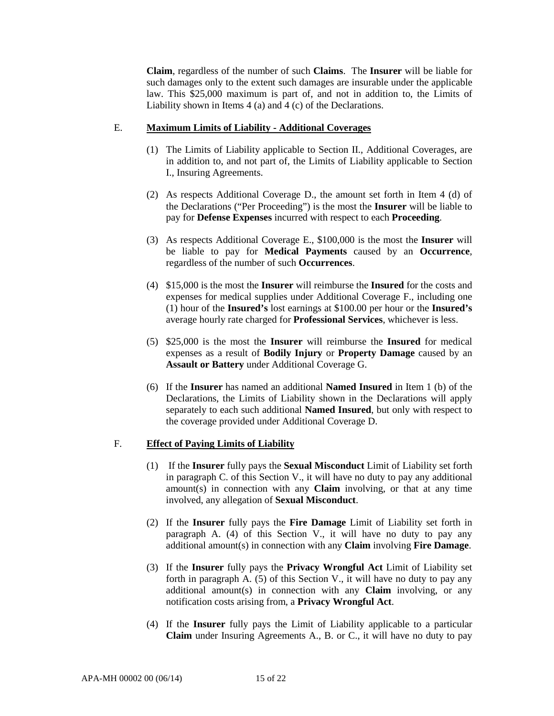**Claim**, regardless of the number of such **Claims**. The **Insurer** will be liable for such damages only to the extent such damages are insurable under the applicable law. This \$25,000 maximum is part of, and not in addition to, the Limits of Liability shown in Items 4 (a) and 4 (c) of the Declarations.

#### E. **Maximum Limits of Liability - Additional Coverages**

- (1) The Limits of Liability applicable to Section II., Additional Coverages, are in addition to, and not part of, the Limits of Liability applicable to Section I., Insuring Agreements.
- (2) As respects Additional Coverage D., the amount set forth in Item 4 (d) of the Declarations ("Per Proceeding") is the most the **Insurer** will be liable to pay for **Defense Expenses** incurred with respect to each **Proceeding**.
- (3) As respects Additional Coverage E., \$100,000 is the most the **Insurer** will be liable to pay for **Medical Payments** caused by an **Occurrence**, regardless of the number of such **Occurrences**.
- (4) \$15,000 is the most the **Insurer** will reimburse the **Insured** for the costs and expenses for medical supplies under Additional Coverage F., including one (1) hour of the **Insured's** lost earnings at \$100.00 per hour or the **Insured's** average hourly rate charged for **Professional Services**, whichever is less.
- (5) \$25,000 is the most the **Insurer** will reimburse the **Insured** for medical expenses as a result of **Bodily Injury** or **Property Damage** caused by an **Assault or Battery** under Additional Coverage G.
- (6) If the **Insurer** has named an additional **Named Insured** in Item 1 (b) of the Declarations, the Limits of Liability shown in the Declarations will apply separately to each such additional **Named Insured**, but only with respect to the coverage provided under Additional Coverage D.

### F. **Effect of Paying Limits of Liability**

- (1) If the **Insurer** fully pays the **Sexual Misconduct** Limit of Liability set forth in paragraph C. of this Section V., it will have no duty to pay any additional amount(s) in connection with any **Claim** involving, or that at any time involved, any allegation of **Sexual Misconduct**.
- (2) If the **Insurer** fully pays the **Fire Damage** Limit of Liability set forth in paragraph A. (4) of this Section V., it will have no duty to pay any additional amount(s) in connection with any **Claim** involving **Fire Damage**.
- (3) If the **Insurer** fully pays the **Privacy Wrongful Act** Limit of Liability set forth in paragraph A. (5) of this Section V., it will have no duty to pay any additional amount(s) in connection with any **Claim** involving, or any notification costs arising from, a **Privacy Wrongful Act**.
- (4) If the **Insurer** fully pays the Limit of Liability applicable to a particular **Claim** under Insuring Agreements A., B. or C., it will have no duty to pay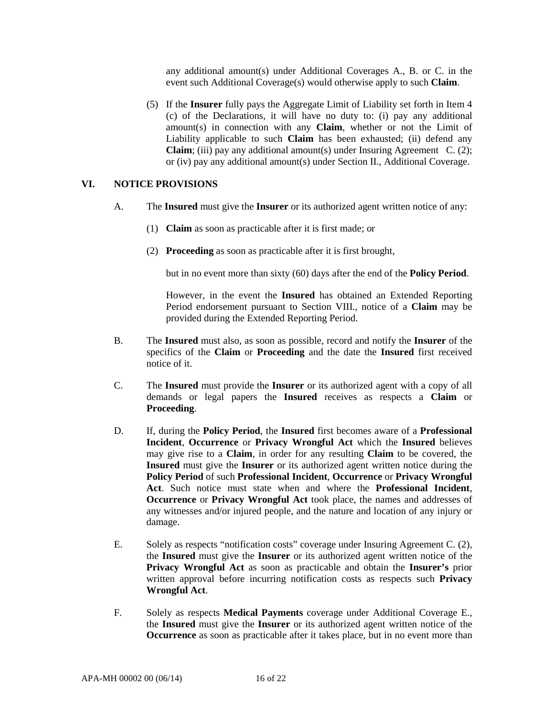any additional amount(s) under Additional Coverages A., B. or C. in the event such Additional Coverage(s) would otherwise apply to such **Claim**.

(5) If the **Insurer** fully pays the Aggregate Limit of Liability set forth in Item 4 (c) of the Declarations, it will have no duty to: (i) pay any additional amount(s) in connection with any **Claim**, whether or not the Limit of Liability applicable to such **Claim** has been exhausted; (ii) defend any **Claim**; (iii) pay any additional amount(s) under Insuring Agreement C. (2); or (iv) pay any additional amount(s) under Section II., Additional Coverage.

#### **VI. NOTICE PROVISIONS**

- A. The **Insured** must give the **Insurer** or its authorized agent written notice of any:
	- (1) **Claim** as soon as practicable after it is first made; or
	- (2) **Proceeding** as soon as practicable after it is first brought,

but in no event more than sixty (60) days after the end of the **Policy Period**.

However, in the event the **Insured** has obtained an Extended Reporting Period endorsement pursuant to Section VIII., notice of a **Claim** may be provided during the Extended Reporting Period.

- B. The **Insured** must also, as soon as possible, record and notify the **Insurer** of the specifics of the **Claim** or **Proceeding** and the date the **Insured** first received notice of it.
- C. The **Insured** must provide the **Insurer** or its authorized agent with a copy of all demands or legal papers the **Insured** receives as respects a **Claim** or **Proceeding**.
- D. If, during the **Policy Period**, the **Insured** first becomes aware of a **Professional Incident**, **Occurrence** or **Privacy Wrongful Act** which the **Insured** believes may give rise to a **Claim**, in order for any resulting **Claim** to be covered, the **Insured** must give the **Insurer** or its authorized agent written notice during the **Policy Period** of such **Professional Incident**, **Occurrence** or **Privacy Wrongful Act**. Such notice must state when and where the **Professional Incident**, **Occurrence** or **Privacy Wrongful Act** took place, the names and addresses of any witnesses and/or injured people, and the nature and location of any injury or damage.
- E. Solely as respects "notification costs" coverage under Insuring Agreement C. (2), the **Insured** must give the **Insurer** or its authorized agent written notice of the **Privacy Wrongful Act** as soon as practicable and obtain the **Insurer's** prior written approval before incurring notification costs as respects such **Privacy Wrongful Act**.
- F. Solely as respects **Medical Payments** coverage under Additional Coverage E., the **Insured** must give the **Insurer** or its authorized agent written notice of the **Occurrence** as soon as practicable after it takes place, but in no event more than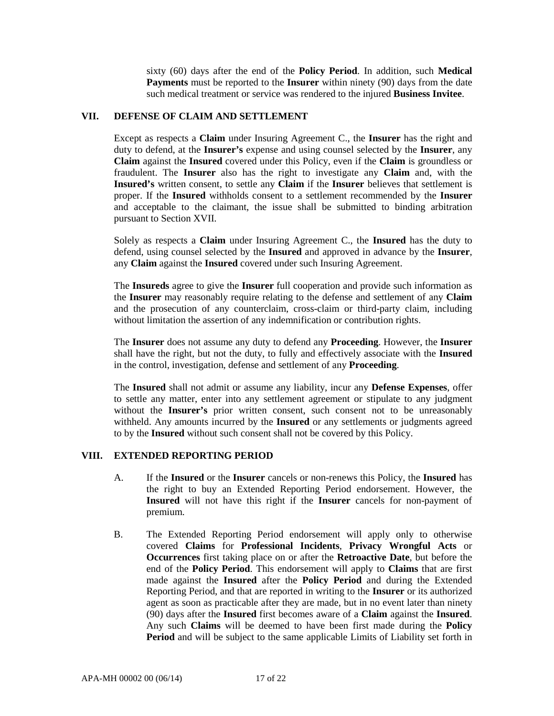sixty (60) days after the end of the **Policy Period**. In addition, such **Medical Payments** must be reported to the **Insurer** within ninety (90) days from the date such medical treatment or service was rendered to the injured **Business Invitee**.

### **VII. DEFENSE OF CLAIM AND SETTLEMENT**

Except as respects a **Claim** under Insuring Agreement C., the **Insurer** has the right and duty to defend, at the **Insurer's** expense and using counsel selected by the **Insurer**, any **Claim** against the **Insured** covered under this Policy, even if the **Claim** is groundless or fraudulent. The **Insurer** also has the right to investigate any **Claim** and, with the **Insured's** written consent, to settle any **Claim** if the **Insurer** believes that settlement is proper. If the **Insured** withholds consent to a settlement recommended by the **Insurer** and acceptable to the claimant, the issue shall be submitted to binding arbitration pursuant to Section XVII.

Solely as respects a **Claim** under Insuring Agreement C., the **Insured** has the duty to defend, using counsel selected by the **Insured** and approved in advance by the **Insurer**, any **Claim** against the **Insured** covered under such Insuring Agreement.

The **Insureds** agree to give the **Insurer** full cooperation and provide such information as the **Insurer** may reasonably require relating to the defense and settlement of any **Claim** and the prosecution of any counterclaim, cross-claim or third-party claim, including without limitation the assertion of any indemnification or contribution rights.

The **Insurer** does not assume any duty to defend any **Proceeding**. However, the **Insurer** shall have the right, but not the duty, to fully and effectively associate with the **Insured** in the control, investigation, defense and settlement of any **Proceeding**.

The **Insured** shall not admit or assume any liability, incur any **Defense Expenses**, offer to settle any matter, enter into any settlement agreement or stipulate to any judgment without the **Insurer's** prior written consent, such consent not to be unreasonably withheld. Any amounts incurred by the **Insured** or any settlements or judgments agreed to by the **Insured** without such consent shall not be covered by this Policy.

## **VIII. EXTENDED REPORTING PERIOD**

- A. If the **Insured** or the **Insurer** cancels or non-renews this Policy, the **Insured** has the right to buy an Extended Reporting Period endorsement. However, the **Insured** will not have this right if the **Insurer** cancels for non-payment of premium.
- B. The Extended Reporting Period endorsement will apply only to otherwise covered **Claims** for **Professional Incidents**, **Privacy Wrongful Acts** or **Occurrences** first taking place on or after the **Retroactive Date**, but before the end of the **Policy Period**. This endorsement will apply to **Claims** that are first made against the **Insured** after the **Policy Period** and during the Extended Reporting Period, and that are reported in writing to the **Insurer** or its authorized agent as soon as practicable after they are made, but in no event later than ninety (90) days after the **Insured** first becomes aware of a **Claim** against the **Insured**. Any such **Claims** will be deemed to have been first made during the **Policy Period** and will be subject to the same applicable Limits of Liability set forth in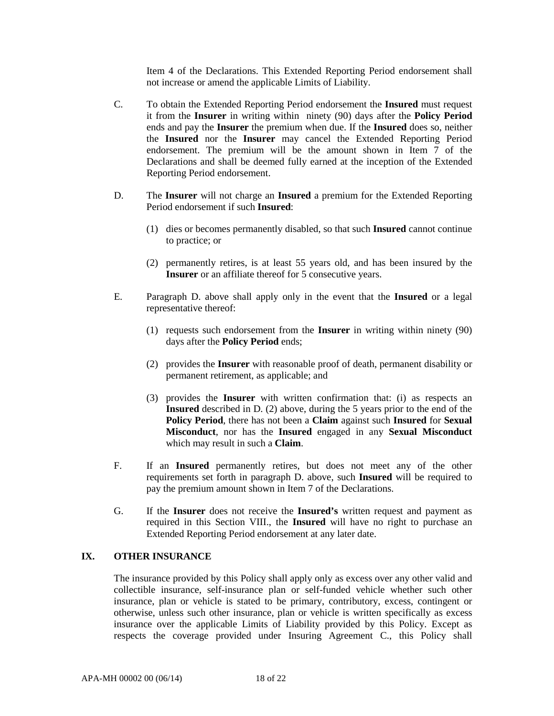Item 4 of the Declarations. This Extended Reporting Period endorsement shall not increase or amend the applicable Limits of Liability.

- C. To obtain the Extended Reporting Period endorsement the **Insured** must request it from the **Insurer** in writing within ninety (90) days after the **Policy Period** ends and pay the **Insurer** the premium when due. If the **Insured** does so, neither the **Insured** nor the **Insurer** may cancel the Extended Reporting Period endorsement. The premium will be the amount shown in Item 7 of the Declarations and shall be deemed fully earned at the inception of the Extended Reporting Period endorsement.
- D. The **Insurer** will not charge an **Insured** a premium for the Extended Reporting Period endorsement if such **Insured**:
	- (1) dies or becomes permanently disabled, so that such **Insured** cannot continue to practice; or
	- (2) permanently retires, is at least 55 years old, and has been insured by the **Insurer** or an affiliate thereof for 5 consecutive years.
- E. Paragraph D. above shall apply only in the event that the **Insured** or a legal representative thereof:
	- (1) requests such endorsement from the **Insurer** in writing within ninety (90) days after the **Policy Period** ends;
	- (2) provides the **Insurer** with reasonable proof of death, permanent disability or permanent retirement, as applicable; and
	- (3) provides the **Insurer** with written confirmation that: (i) as respects an **Insured** described in D. (2) above, during the 5 years prior to the end of the **Policy Period**, there has not been a **Claim** against such **Insured** for **Sexual Misconduct**, nor has the **Insured** engaged in any **Sexual Misconduct** which may result in such a **Claim**.
- F. If an **Insured** permanently retires, but does not meet any of the other requirements set forth in paragraph D. above, such **Insured** will be required to pay the premium amount shown in Item 7 of the Declarations.
- G. If the **Insurer** does not receive the **Insured's** written request and payment as required in this Section VIII., the **Insured** will have no right to purchase an Extended Reporting Period endorsement at any later date.

### **IX. OTHER INSURANCE**

The insurance provided by this Policy shall apply only as excess over any other valid and collectible insurance, self-insurance plan or self-funded vehicle whether such other insurance, plan or vehicle is stated to be primary, contributory, excess, contingent or otherwise, unless such other insurance, plan or vehicle is written specifically as excess insurance over the applicable Limits of Liability provided by this Policy. Except as respects the coverage provided under Insuring Agreement C., this Policy shall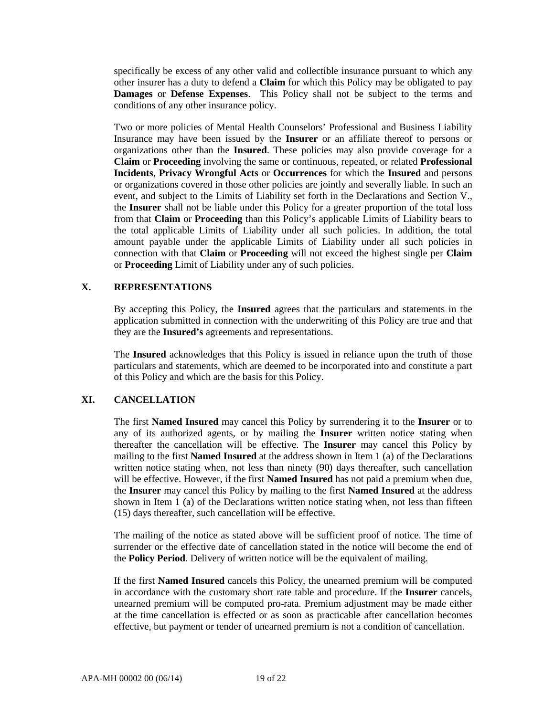specifically be excess of any other valid and collectible insurance pursuant to which any other insurer has a duty to defend a **Claim** for which this Policy may be obligated to pay **Damages** or **Defense Expenses**. This Policy shall not be subject to the terms and conditions of any other insurance policy.

Two or more policies of Mental Health Counselors' Professional and Business Liability Insurance may have been issued by the **Insurer** or an affiliate thereof to persons or organizations other than the **Insured**. These policies may also provide coverage for a **Claim** or **Proceeding** involving the same or continuous, repeated, or related **Professional Incidents**, **Privacy Wrongful Acts** or **Occurrences** for which the **Insured** and persons or organizations covered in those other policies are jointly and severally liable. In such an event, and subject to the Limits of Liability set forth in the Declarations and Section V., the **Insurer** shall not be liable under this Policy for a greater proportion of the total loss from that **Claim** or **Proceeding** than this Policy's applicable Limits of Liability bears to the total applicable Limits of Liability under all such policies. In addition, the total amount payable under the applicable Limits of Liability under all such policies in connection with that **Claim** or **Proceeding** will not exceed the highest single per **Claim** or **Proceeding** Limit of Liability under any of such policies.

#### **X. REPRESENTATIONS**

By accepting this Policy, the **Insured** agrees that the particulars and statements in the application submitted in connection with the underwriting of this Policy are true and that they are the **Insured's** agreements and representations.

The **Insured** acknowledges that this Policy is issued in reliance upon the truth of those particulars and statements, which are deemed to be incorporated into and constitute a part of this Policy and which are the basis for this Policy.

### **XI. CANCELLATION**

The first **Named Insured** may cancel this Policy by surrendering it to the **Insurer** or to any of its authorized agents, or by mailing the **Insurer** written notice stating when thereafter the cancellation will be effective. The **Insurer** may cancel this Policy by mailing to the first **Named Insured** at the address shown in Item 1 (a) of the Declarations written notice stating when, not less than ninety (90) days thereafter, such cancellation will be effective. However, if the first **Named Insured** has not paid a premium when due, the **Insurer** may cancel this Policy by mailing to the first **Named Insured** at the address shown in Item 1 (a) of the Declarations written notice stating when, not less than fifteen (15) days thereafter, such cancellation will be effective.

The mailing of the notice as stated above will be sufficient proof of notice. The time of surrender or the effective date of cancellation stated in the notice will become the end of the **Policy Period**. Delivery of written notice will be the equivalent of mailing.

If the first **Named Insured** cancels this Policy, the unearned premium will be computed in accordance with the customary short rate table and procedure. If the **Insurer** cancels, unearned premium will be computed pro-rata. Premium adjustment may be made either at the time cancellation is effected or as soon as practicable after cancellation becomes effective, but payment or tender of unearned premium is not a condition of cancellation.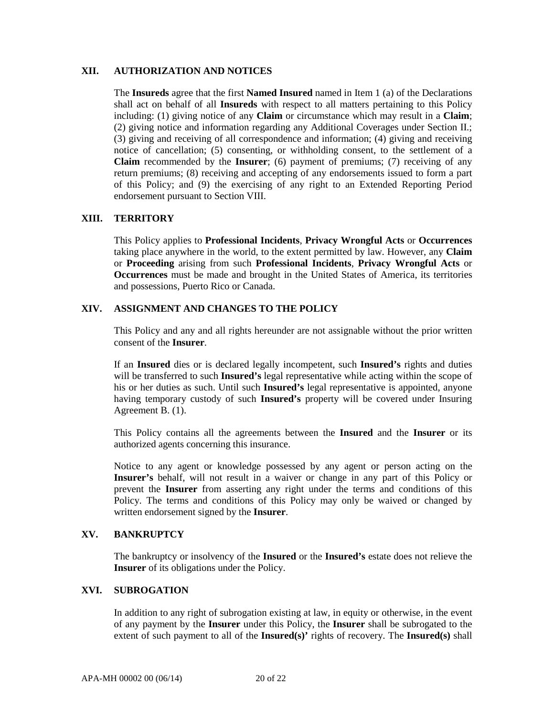#### **XII. AUTHORIZATION AND NOTICES**

The **Insureds** agree that the first **Named Insured** named in Item 1 (a) of the Declarations shall act on behalf of all **Insureds** with respect to all matters pertaining to this Policy including: (1) giving notice of any **Claim** or circumstance which may result in a **Claim**; (2) giving notice and information regarding any Additional Coverages under Section II.; (3) giving and receiving of all correspondence and information; (4) giving and receiving notice of cancellation; (5) consenting, or withholding consent, to the settlement of a **Claim** recommended by the **Insurer**; (6) payment of premiums; (7) receiving of any return premiums; (8) receiving and accepting of any endorsements issued to form a part of this Policy; and (9) the exercising of any right to an Extended Reporting Period endorsement pursuant to Section VIII.

### **XIII. TERRITORY**

This Policy applies to **Professional Incidents**, **Privacy Wrongful Acts** or **Occurrences** taking place anywhere in the world, to the extent permitted by law. However, any **Claim** or **Proceeding** arising from such **Professional Incidents**, **Privacy Wrongful Acts** or **Occurrences** must be made and brought in the United States of America, its territories and possessions, Puerto Rico or Canada.

### **XIV. ASSIGNMENT AND CHANGES TO THE POLICY**

This Policy and any and all rights hereunder are not assignable without the prior written consent of the **Insurer**.

If an **Insured** dies or is declared legally incompetent, such **Insured's** rights and duties will be transferred to such **Insured's** legal representative while acting within the scope of his or her duties as such. Until such **Insured's** legal representative is appointed, anyone having temporary custody of such **Insured's** property will be covered under Insuring Agreement B. (1).

This Policy contains all the agreements between the **Insured** and the **Insurer** or its authorized agents concerning this insurance.

Notice to any agent or knowledge possessed by any agent or person acting on the **Insurer's** behalf, will not result in a waiver or change in any part of this Policy or prevent the **Insurer** from asserting any right under the terms and conditions of this Policy. The terms and conditions of this Policy may only be waived or changed by written endorsement signed by the **Insurer**.

### **XV. BANKRUPTCY**

The bankruptcy or insolvency of the **Insured** or the **Insured's** estate does not relieve the **Insurer** of its obligations under the Policy.

#### **XVI. SUBROGATION**

In addition to any right of subrogation existing at law, in equity or otherwise, in the event of any payment by the **Insurer** under this Policy, the **Insurer** shall be subrogated to the extent of such payment to all of the **Insured(s)'** rights of recovery. The **Insured(s)** shall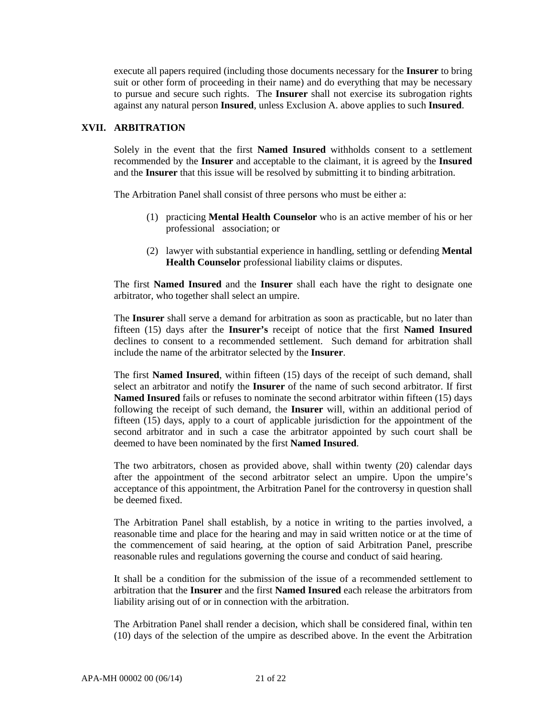execute all papers required (including those documents necessary for the **Insurer** to bring suit or other form of proceeding in their name) and do everything that may be necessary to pursue and secure such rights. The **Insurer** shall not exercise its subrogation rights against any natural person **Insured**, unless Exclusion A. above applies to such **Insured**.

## **XVII. ARBITRATION**

Solely in the event that the first **Named Insured** withholds consent to a settlement recommended by the **Insurer** and acceptable to the claimant, it is agreed by the **Insured** and the **Insurer** that this issue will be resolved by submitting it to binding arbitration.

The Arbitration Panel shall consist of three persons who must be either a:

- (1) practicing **Mental Health Counselor** who is an active member of his or her professional association; or
- (2) lawyer with substantial experience in handling, settling or defending **Mental Health Counselor** professional liability claims or disputes.

The first **Named Insured** and the **Insurer** shall each have the right to designate one arbitrator, who together shall select an umpire.

The **Insurer** shall serve a demand for arbitration as soon as practicable, but no later than fifteen (15) days after the **Insurer's** receipt of notice that the first **Named Insured** declines to consent to a recommended settlement. Such demand for arbitration shall include the name of the arbitrator selected by the **Insurer**.

The first **Named Insured**, within fifteen (15) days of the receipt of such demand, shall select an arbitrator and notify the **Insurer** of the name of such second arbitrator. If first **Named Insured** fails or refuses to nominate the second arbitrator within fifteen (15) days following the receipt of such demand, the **Insurer** will, within an additional period of fifteen (15) days, apply to a court of applicable jurisdiction for the appointment of the second arbitrator and in such a case the arbitrator appointed by such court shall be deemed to have been nominated by the first **Named Insured**.

The two arbitrators, chosen as provided above, shall within twenty (20) calendar days after the appointment of the second arbitrator select an umpire. Upon the umpire's acceptance of this appointment, the Arbitration Panel for the controversy in question shall be deemed fixed.

The Arbitration Panel shall establish, by a notice in writing to the parties involved, a reasonable time and place for the hearing and may in said written notice or at the time of the commencement of said hearing, at the option of said Arbitration Panel, prescribe reasonable rules and regulations governing the course and conduct of said hearing.

It shall be a condition for the submission of the issue of a recommended settlement to arbitration that the **Insurer** and the first **Named Insured** each release the arbitrators from liability arising out of or in connection with the arbitration.

The Arbitration Panel shall render a decision, which shall be considered final, within ten (10) days of the selection of the umpire as described above. In the event the Arbitration